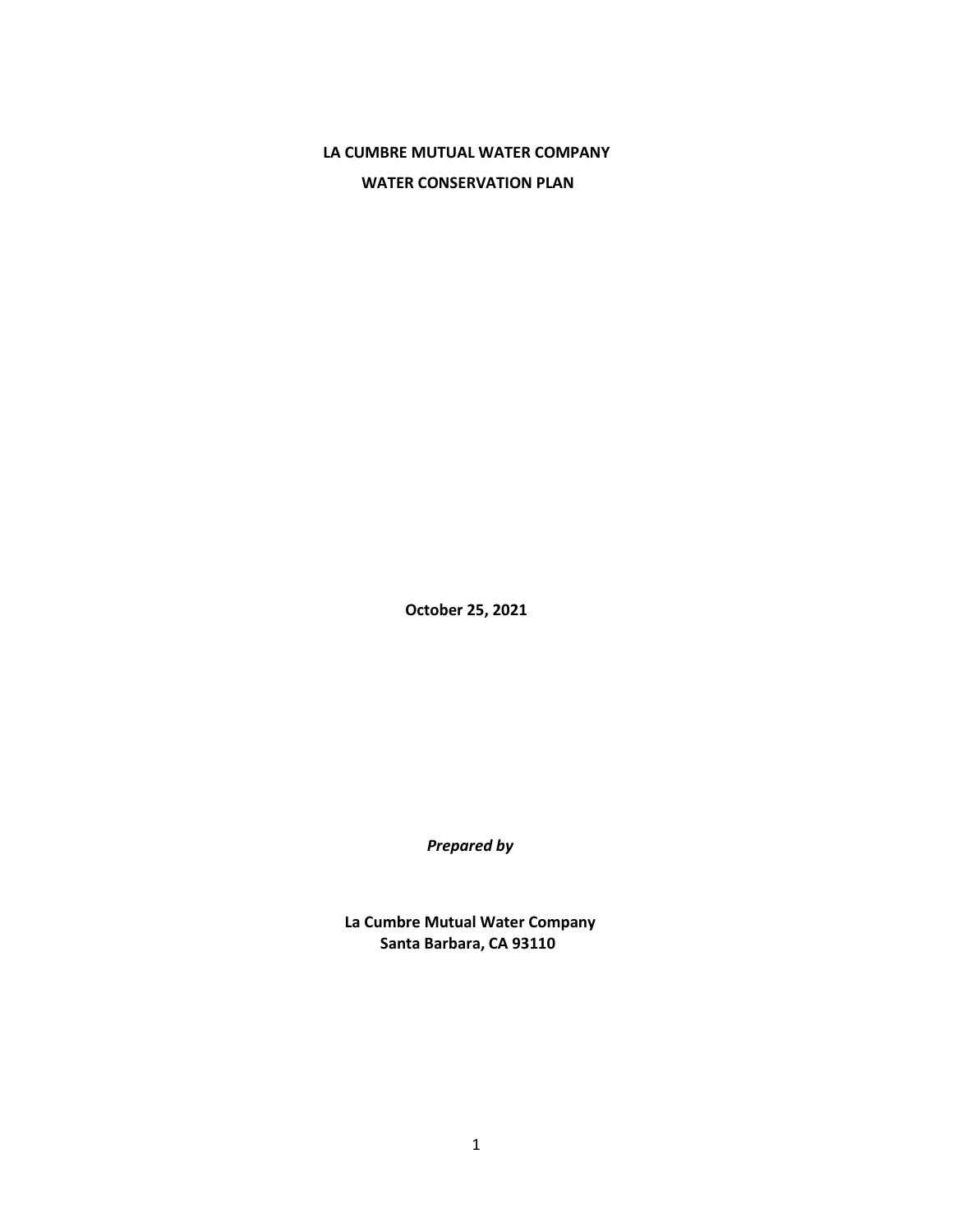# **LA CUMBRE MUTUAL WATER COMPANY WATER CONSERVATION PLAN**

**October 25, 2021**

*Prepared by*

**La Cumbre Mutual Water Company Santa Barbara, CA 93110**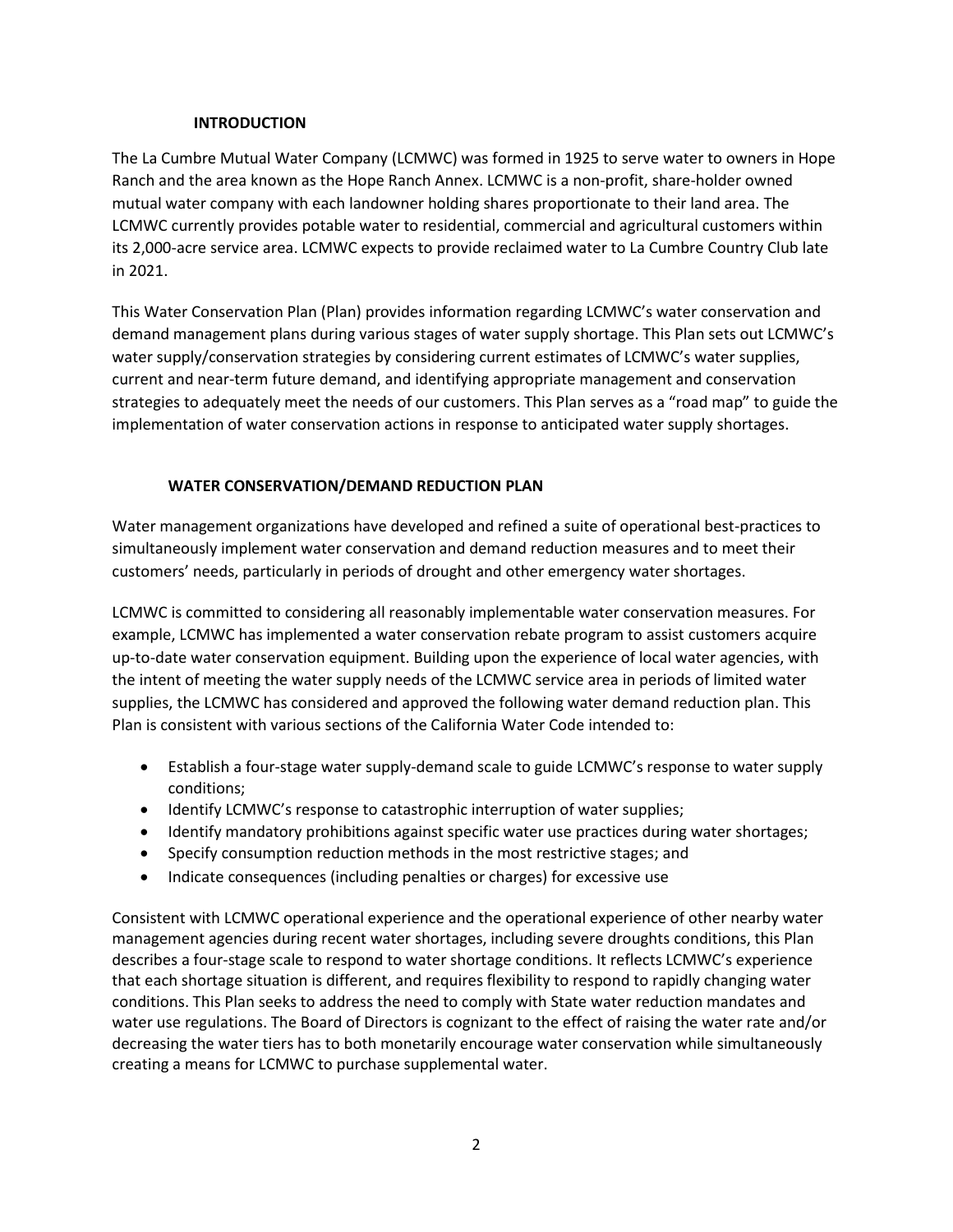## **INTRODUCTION**

The La Cumbre Mutual Water Company (LCMWC) was formed in 1925 to serve water to owners in Hope Ranch and the area known as the Hope Ranch Annex. LCMWC is a non-profit, share-holder owned mutual water company with each landowner holding shares proportionate to their land area. The LCMWC currently provides potable water to residential, commercial and agricultural customers within its 2,000-acre service area. LCMWC expects to provide reclaimed water to La Cumbre Country Club late in 2021.

This Water Conservation Plan (Plan) provides information regarding LCMWC's water conservation and demand management plans during various stages of water supply shortage. This Plan sets out LCMWC's water supply/conservation strategies by considering current estimates of LCMWC's water supplies, current and near-term future demand, and identifying appropriate management and conservation strategies to adequately meet the needs of our customers. This Plan serves as a "road map" to guide the implementation of water conservation actions in response to anticipated water supply shortages.

## **WATER CONSERVATION/DEMAND REDUCTION PLAN**

Water management organizations have developed and refined a suite of operational best-practices to simultaneously implement water conservation and demand reduction measures and to meet their customers' needs, particularly in periods of drought and other emergency water shortages.

LCMWC is committed to considering all reasonably implementable water conservation measures. For example, LCMWC has implemented a water conservation rebate program to assist customers acquire up-to-date water conservation equipment. Building upon the experience of local water agencies, with the intent of meeting the water supply needs of the LCMWC service area in periods of limited water supplies, the LCMWC has considered and approved the following water demand reduction plan. This Plan is consistent with various sections of the California Water Code intended to:

- Establish a four-stage water supply-demand scale to guide LCMWC's response to water supply conditions;
- Identify LCMWC's response to catastrophic interruption of water supplies;
- Identify mandatory prohibitions against specific water use practices during water shortages;
- Specify consumption reduction methods in the most restrictive stages; and
- Indicate consequences (including penalties or charges) for excessive use

Consistent with LCMWC operational experience and the operational experience of other nearby water management agencies during recent water shortages, including severe droughts conditions, this Plan describes a four-stage scale to respond to water shortage conditions. It reflects LCMWC's experience that each shortage situation is different, and requires flexibility to respond to rapidly changing water conditions. This Plan seeks to address the need to comply with State water reduction mandates and water use regulations. The Board of Directors is cognizant to the effect of raising the water rate and/or decreasing the water tiers has to both monetarily encourage water conservation while simultaneously creating a means for LCMWC to purchase supplemental water.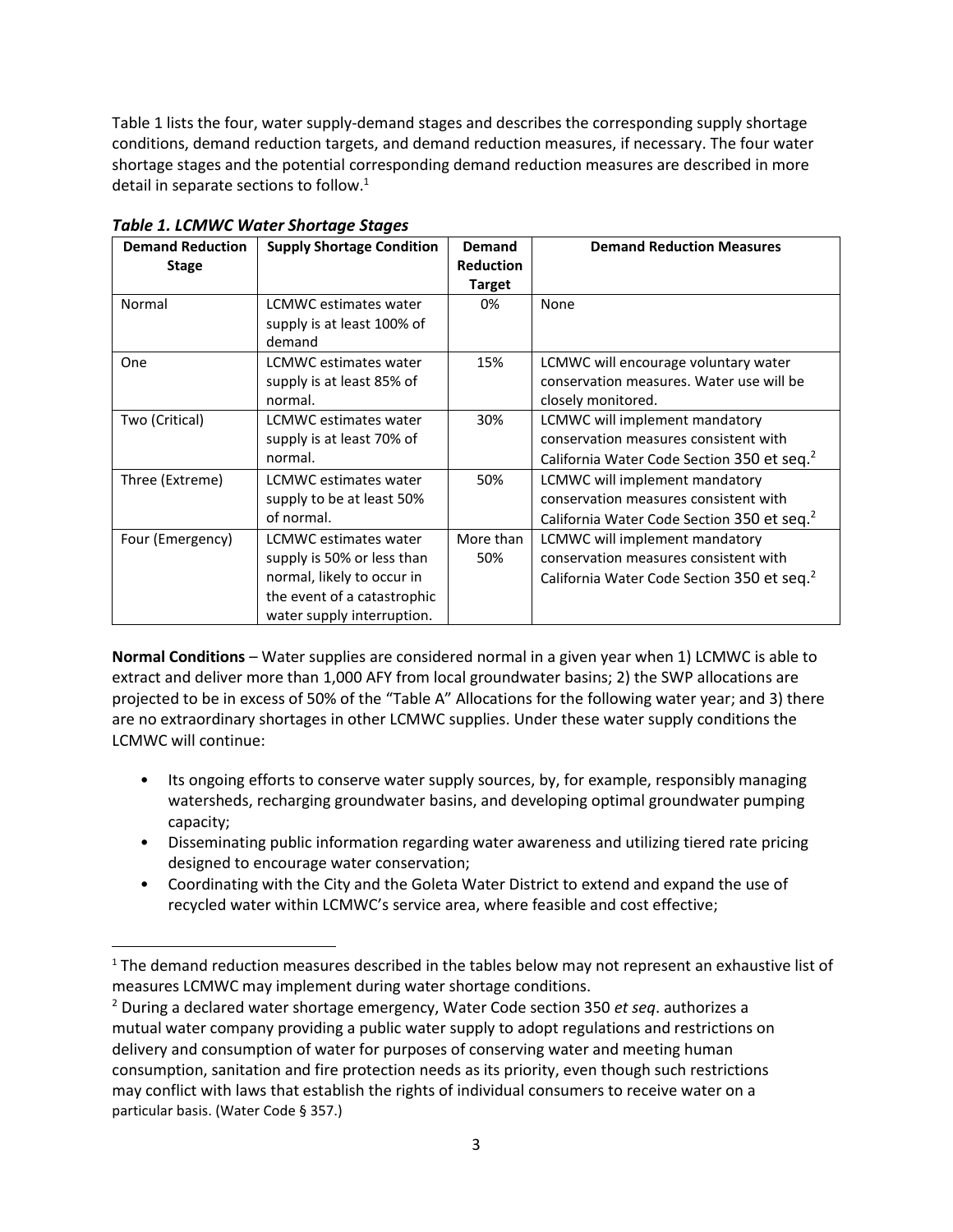Table 1 lists the four, water supply-demand stages and describes the corresponding supply shortage conditions, demand reduction targets, and demand reduction measures, if necessary. The four water shortage stages and the potential corresponding demand reduction measures are described in more detail in separate sections to follow.<sup>1</sup>

| <b>Demand Reduction</b> | <b>Supply Shortage Condition</b> | Demand           | <b>Demand Reduction Measures</b>                       |
|-------------------------|----------------------------------|------------------|--------------------------------------------------------|
| <b>Stage</b>            |                                  | <b>Reduction</b> |                                                        |
|                         |                                  | <b>Target</b>    |                                                        |
| Normal                  | <b>LCMWC</b> estimates water     | 0%               | None                                                   |
|                         | supply is at least 100% of       |                  |                                                        |
|                         | demand                           |                  |                                                        |
| One                     | LCMWC estimates water            | 15%              | LCMWC will encourage voluntary water                   |
|                         | supply is at least 85% of        |                  | conservation measures. Water use will be               |
|                         | normal.                          |                  | closely monitored.                                     |
| Two (Critical)          | <b>LCMWC</b> estimates water     | 30%              | LCMWC will implement mandatory                         |
|                         | supply is at least 70% of        |                  | conservation measures consistent with                  |
|                         | normal.                          |                  | California Water Code Section 350 et seq. <sup>2</sup> |
| Three (Extreme)         | LCMWC estimates water            | 50%              | LCMWC will implement mandatory                         |
|                         | supply to be at least 50%        |                  | conservation measures consistent with                  |
|                         | of normal.                       |                  | California Water Code Section 350 et seq. <sup>2</sup> |
| Four (Emergency)        | <b>LCMWC</b> estimates water     | More than        | LCMWC will implement mandatory                         |
|                         | supply is 50% or less than       | 50%              | conservation measures consistent with                  |
|                         | normal, likely to occur in       |                  | California Water Code Section 350 et seq. <sup>2</sup> |
|                         | the event of a catastrophic      |                  |                                                        |
|                         | water supply interruption.       |                  |                                                        |

**Normal Conditions** – Water supplies are considered normal in a given year when 1) LCMWC is able to extract and deliver more than 1,000 AFY from local groundwater basins; 2) the SWP allocations are projected to be in excess of 50% of the "Table A" Allocations for the following water year; and 3) there are no extraordinary shortages in other LCMWC supplies. Under these water supply conditions the LCMWC will continue:

- Its ongoing efforts to conserve water supply sources, by, for example, responsibly managing watersheds, recharging groundwater basins, and developing optimal groundwater pumping capacity;
- Disseminating public information regarding water awareness and utilizing tiered rate pricing designed to encourage water conservation;
- Coordinating with the City and the Goleta Water District to extend and expand the use of recycled water within LCMWC's service area, where feasible and cost effective;

 $1$  The demand reduction measures described in the tables below may not represent an exhaustive list of measures LCMWC may implement during water shortage conditions.

<sup>2</sup> During a declared water shortage emergency, Water Code section 350 *et seq*. authorizes a mutual water company providing a public water supply to adopt regulations and restrictions on delivery and consumption of water for purposes of conserving water and meeting human consumption, sanitation and fire protection needs as its priority, even though such restrictions may conflict with laws that establish the rights of individual consumers to receive water on a particular basis. (Water Code § 357.)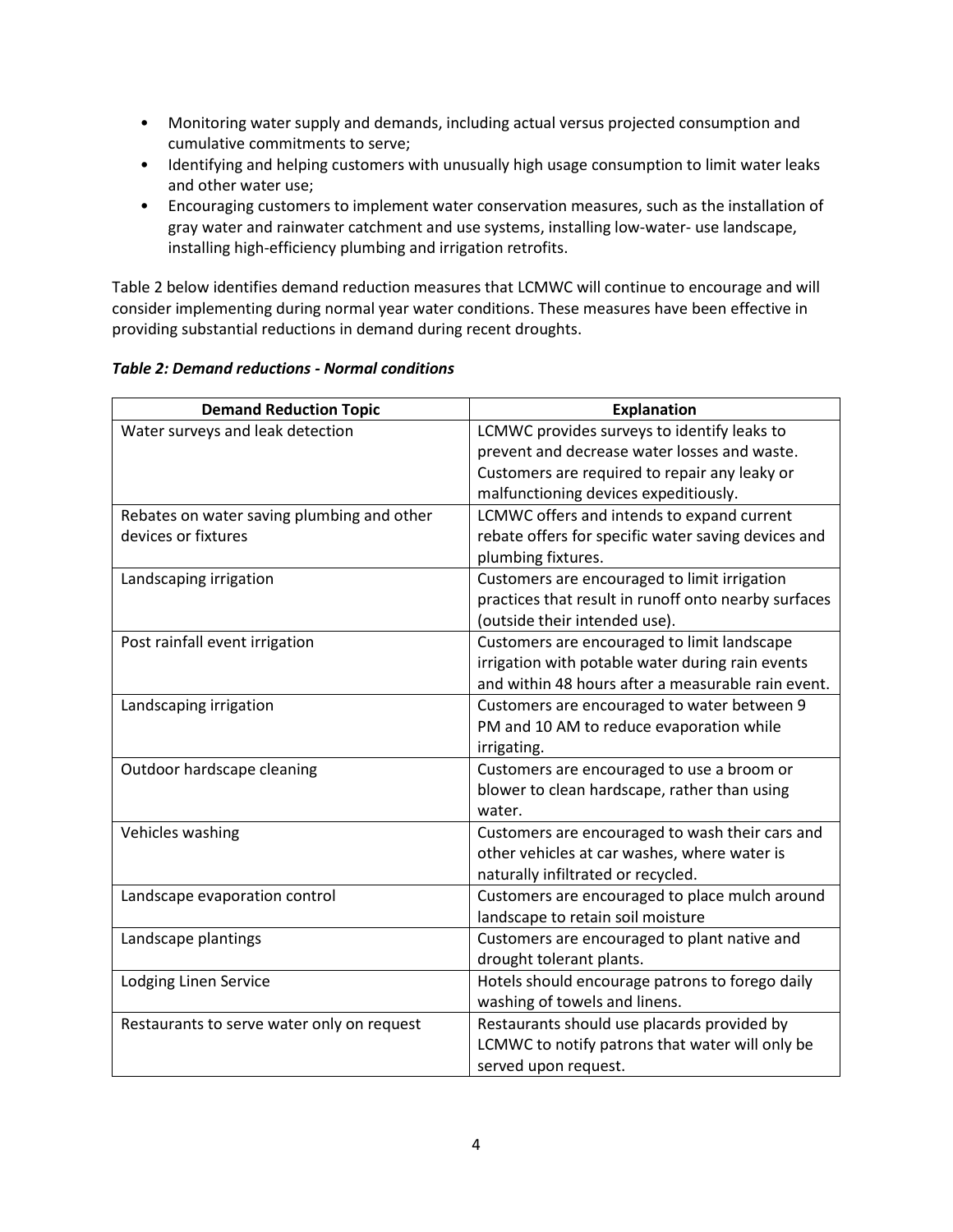- Monitoring water supply and demands, including actual versus projected consumption and cumulative commitments to serve;
- Identifying and helping customers with unusually high usage consumption to limit water leaks and other water use;
- Encouraging customers to implement water conservation measures, such as the installation of gray water and rainwater catchment and use systems, installing low-water- use landscape, installing high-efficiency plumbing and irrigation retrofits.

Table 2 below identifies demand reduction measures that LCMWC will continue to encourage and will consider implementing during normal year water conditions. These measures have been effective in providing substantial reductions in demand during recent droughts.

#### *Table 2: Demand reductions - Normal conditions*

| <b>Demand Reduction Topic</b>              | <b>Explanation</b>                                   |
|--------------------------------------------|------------------------------------------------------|
| Water surveys and leak detection           | LCMWC provides surveys to identify leaks to          |
|                                            | prevent and decrease water losses and waste.         |
|                                            | Customers are required to repair any leaky or        |
|                                            | malfunctioning devices expeditiously.                |
| Rebates on water saving plumbing and other | LCMWC offers and intends to expand current           |
| devices or fixtures                        | rebate offers for specific water saving devices and  |
|                                            | plumbing fixtures.                                   |
| Landscaping irrigation                     | Customers are encouraged to limit irrigation         |
|                                            | practices that result in runoff onto nearby surfaces |
|                                            | (outside their intended use).                        |
| Post rainfall event irrigation             | Customers are encouraged to limit landscape          |
|                                            | irrigation with potable water during rain events     |
|                                            | and within 48 hours after a measurable rain event.   |
| Landscaping irrigation                     | Customers are encouraged to water between 9          |
|                                            | PM and 10 AM to reduce evaporation while             |
|                                            | irrigating.                                          |
| Outdoor hardscape cleaning                 | Customers are encouraged to use a broom or           |
|                                            | blower to clean hardscape, rather than using         |
|                                            | water.                                               |
| Vehicles washing                           | Customers are encouraged to wash their cars and      |
|                                            | other vehicles at car washes, where water is         |
|                                            | naturally infiltrated or recycled.                   |
| Landscape evaporation control              | Customers are encouraged to place mulch around       |
|                                            | landscape to retain soil moisture                    |
| Landscape plantings                        | Customers are encouraged to plant native and         |
|                                            | drought tolerant plants.                             |
| Lodging Linen Service                      | Hotels should encourage patrons to forego daily      |
|                                            | washing of towels and linens.                        |
| Restaurants to serve water only on request | Restaurants should use placards provided by          |
|                                            | LCMWC to notify patrons that water will only be      |
|                                            | served upon request.                                 |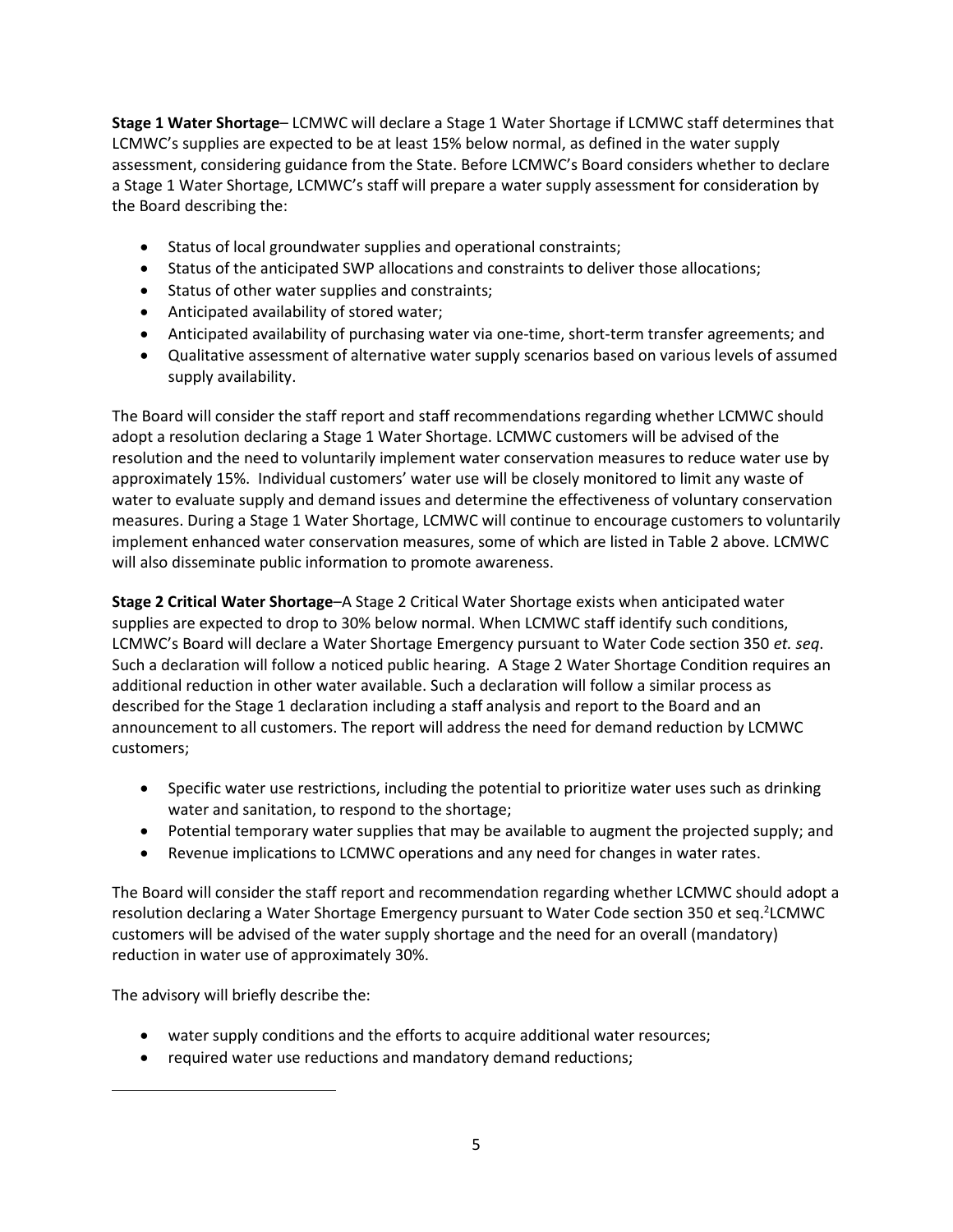**Stage 1 Water Shortage**– LCMWC will declare a Stage 1 Water Shortage if LCMWC staff determines that LCMWC's supplies are expected to be at least 15% below normal, as defined in the water supply assessment, considering guidance from the State. Before LCMWC's Board considers whether to declare a Stage 1 Water Shortage, LCMWC's staff will prepare a water supply assessment for consideration by the Board describing the:

- Status of local groundwater supplies and operational constraints;
- Status of the anticipated SWP allocations and constraints to deliver those allocations;
- Status of other water supplies and constraints;
- Anticipated availability of stored water;
- Anticipated availability of purchasing water via one-time, short-term transfer agreements; and
- Qualitative assessment of alternative water supply scenarios based on various levels of assumed supply availability.

The Board will consider the staff report and staff recommendations regarding whether LCMWC should adopt a resolution declaring a Stage 1 Water Shortage. LCMWC customers will be advised of the resolution and the need to voluntarily implement water conservation measures to reduce water use by approximately 15%. Individual customers' water use will be closely monitored to limit any waste of water to evaluate supply and demand issues and determine the effectiveness of voluntary conservation measures. During a Stage 1 Water Shortage, LCMWC will continue to encourage customers to voluntarily implement enhanced water conservation measures, some of which are listed in Table 2 above. LCMWC will also disseminate public information to promote awareness.

**Stage 2 Critical Water Shortage**–A Stage 2 Critical Water Shortage exists when anticipated water supplies are expected to drop to 30% below normal. When LCMWC staff identify such conditions, LCMWC's Board will declare a Water Shortage Emergency pursuant to Water Code section 350 *et. seq*. Such a declaration will follow a noticed public hearing. A Stage 2 Water Shortage Condition requires an additional reduction in other water available. Such a declaration will follow a similar process as described for the Stage 1 declaration including a staff analysis and report to the Board and an announcement to all customers. The report will address the need for demand reduction by LCMWC customers;

- Specific water use restrictions, including the potential to prioritize water uses such as drinking water and sanitation, to respond to the shortage;
- Potential temporary water supplies that may be available to augment the projected supply; and
- Revenue implications to LCMWC operations and any need for changes in water rates.

The Board will consider the staff report and recommendation regarding whether LCMWC should adopt a resolution declaring a Water Shortage Emergency pursuant to Water Code section 350 et seq.<sup>2</sup>LCMWC customers will be advised of the water supply shortage and the need for an overall (mandatory) reduction in water use of approximately 30%.

The advisory will briefly describe the:

- water supply conditions and the efforts to acquire additional water resources;
- required water use reductions and mandatory demand reductions;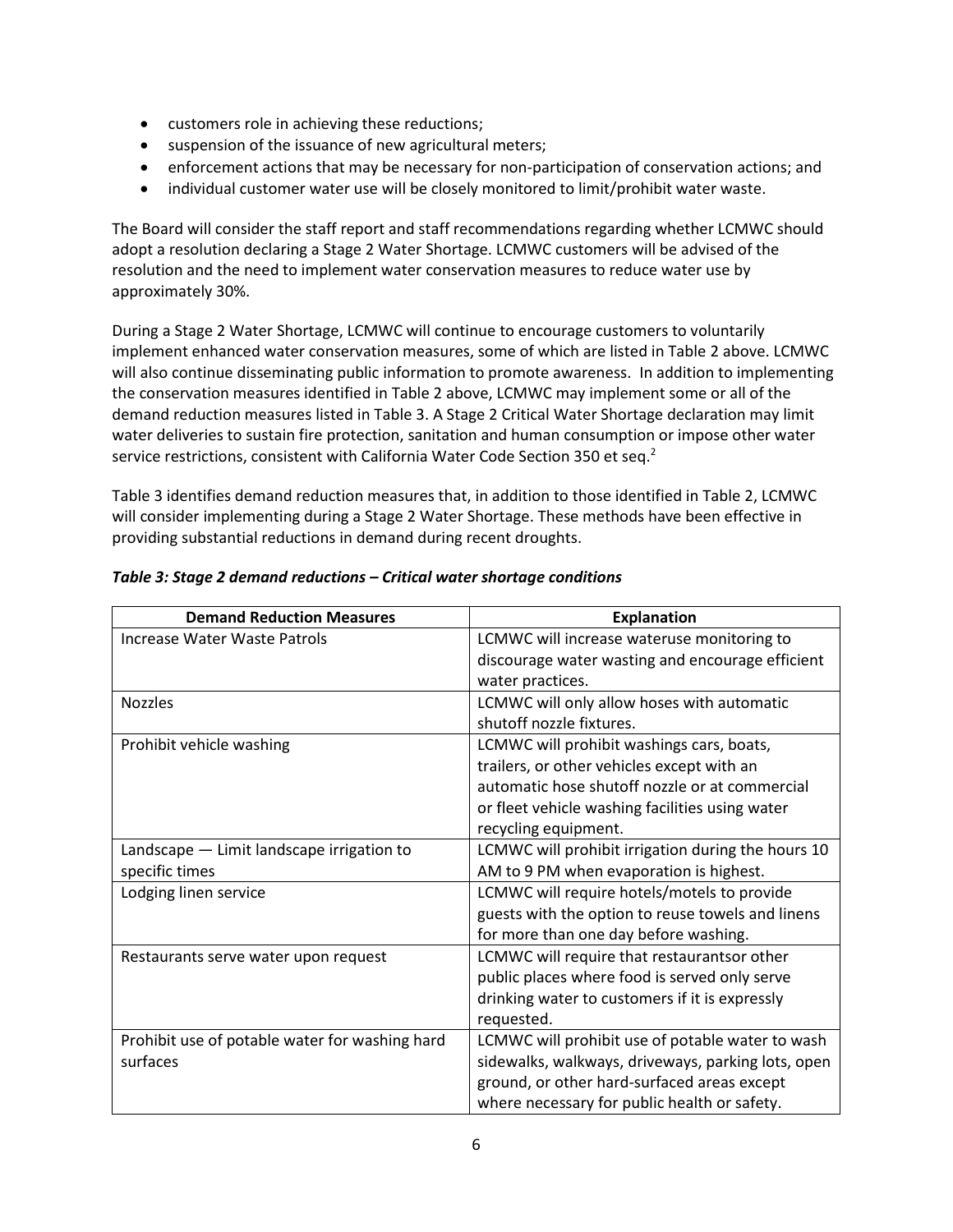- customers role in achieving these reductions;
- suspension of the issuance of new agricultural meters;
- enforcement actions that may be necessary for non-participation of conservation actions; and
- individual customer water use will be closely monitored to limit/prohibit water waste.

The Board will consider the staff report and staff recommendations regarding whether LCMWC should adopt a resolution declaring a Stage 2 Water Shortage. LCMWC customers will be advised of the resolution and the need to implement water conservation measures to reduce water use by approximately 30%.

During a Stage 2 Water Shortage, LCMWC will continue to encourage customers to voluntarily implement enhanced water conservation measures, some of which are listed in Table 2 above. LCMWC will also continue disseminating public information to promote awareness. In addition to implementing the conservation measures identified in Table 2 above, LCMWC may implement some or all of the demand reduction measures listed in Table 3. A Stage 2 Critical Water Shortage declaration may limit water deliveries to sustain fire protection, sanitation and human consumption or impose other water service restrictions, consistent with California Water Code Section 350 et seq.<sup>2</sup>

Table 3 identifies demand reduction measures that, in addition to those identified in Table 2, LCMWC will consider implementing during a Stage 2 Water Shortage. These methods have been effective in providing substantial reductions in demand during recent droughts.

| <b>Demand Reduction Measures</b>               | <b>Explanation</b>                                 |  |
|------------------------------------------------|----------------------------------------------------|--|
| Increase Water Waste Patrols                   | LCMWC will increase wateruse monitoring to         |  |
|                                                | discourage water wasting and encourage efficient   |  |
|                                                | water practices.                                   |  |
| <b>Nozzles</b>                                 | LCMWC will only allow hoses with automatic         |  |
|                                                | shutoff nozzle fixtures.                           |  |
| Prohibit vehicle washing                       | LCMWC will prohibit washings cars, boats,          |  |
|                                                | trailers, or other vehicles except with an         |  |
|                                                | automatic hose shutoff nozzle or at commercial     |  |
|                                                | or fleet vehicle washing facilities using water    |  |
|                                                | recycling equipment.                               |  |
| Landscape - Limit landscape irrigation to      | LCMWC will prohibit irrigation during the hours 10 |  |
| specific times                                 | AM to 9 PM when evaporation is highest.            |  |
| Lodging linen service                          | LCMWC will require hotels/motels to provide        |  |
|                                                | guests with the option to reuse towels and linens  |  |
|                                                | for more than one day before washing.              |  |
| Restaurants serve water upon request           | LCMWC will require that restaurantsor other        |  |
|                                                | public places where food is served only serve      |  |
|                                                | drinking water to customers if it is expressly     |  |
|                                                | requested.                                         |  |
| Prohibit use of potable water for washing hard | LCMWC will prohibit use of potable water to wash   |  |
| surfaces                                       | sidewalks, walkways, driveways, parking lots, open |  |
|                                                | ground, or other hard-surfaced areas except        |  |
|                                                | where necessary for public health or safety.       |  |

#### *Table 3: Stage 2 demand reductions – Critical water shortage conditions*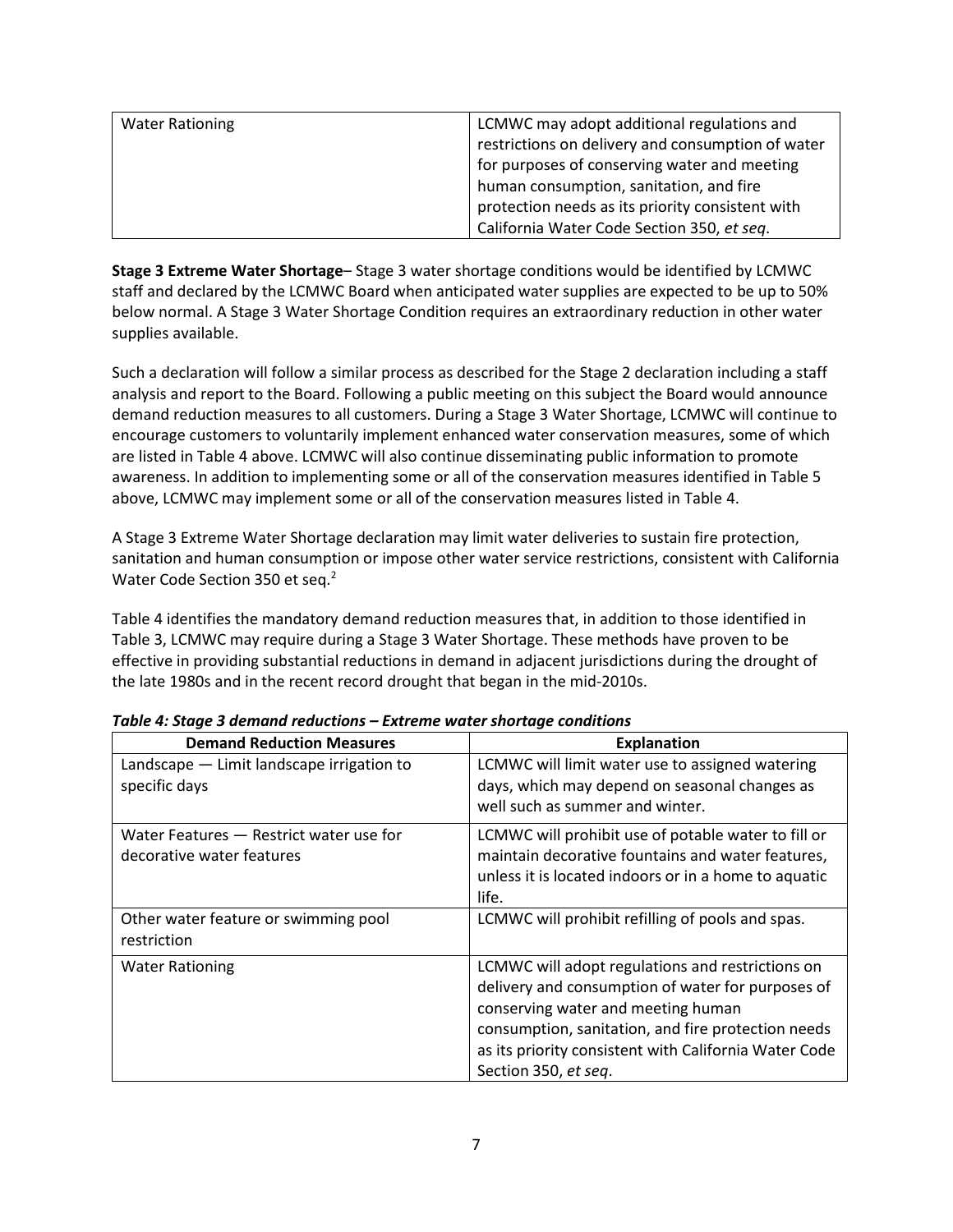| <b>Water Rationing</b> | LCMWC may adopt additional regulations and        |
|------------------------|---------------------------------------------------|
|                        | restrictions on delivery and consumption of water |
|                        | for purposes of conserving water and meeting      |
|                        | human consumption, sanitation, and fire           |
|                        | protection needs as its priority consistent with  |
|                        | California Water Code Section 350, et seg.        |

**Stage 3 Extreme Water Shortage**– Stage 3 water shortage conditions would be identified by LCMWC staff and declared by the LCMWC Board when anticipated water supplies are expected to be up to 50% below normal. A Stage 3 Water Shortage Condition requires an extraordinary reduction in other water supplies available.

Such a declaration will follow a similar process as described for the Stage 2 declaration including a staff analysis and report to the Board. Following a public meeting on this subject the Board would announce demand reduction measures to all customers. During a Stage 3 Water Shortage, LCMWC will continue to encourage customers to voluntarily implement enhanced water conservation measures, some of which are listed in Table 4 above. LCMWC will also continue disseminating public information to promote awareness. In addition to implementing some or all of the conservation measures identified in Table 5 above, LCMWC may implement some or all of the conservation measures listed in Table 4.

A Stage 3 Extreme Water Shortage declaration may limit water deliveries to sustain fire protection, sanitation and human consumption or impose other water service restrictions, consistent with California Water Code Section 350 et seq.<sup>2</sup>

Table 4 identifies the mandatory demand reduction measures that, in addition to those identified in Table 3, LCMWC may require during a Stage 3 Water Shortage. These methods have proven to be effective in providing substantial reductions in demand in adjacent jurisdictions during the drought of the late 1980s and in the recent record drought that began in the mid-2010s.

| <b>Demand Reduction Measures</b>                                     | <b>Explanation</b>                                                                                                                                                                                                                                                                 |  |
|----------------------------------------------------------------------|------------------------------------------------------------------------------------------------------------------------------------------------------------------------------------------------------------------------------------------------------------------------------------|--|
| Landscape - Limit landscape irrigation to<br>specific days           | LCMWC will limit water use to assigned watering<br>days, which may depend on seasonal changes as<br>well such as summer and winter.                                                                                                                                                |  |
| Water Features - Restrict water use for<br>decorative water features | LCMWC will prohibit use of potable water to fill or<br>maintain decorative fountains and water features,<br>unless it is located indoors or in a home to aquatic<br>life.                                                                                                          |  |
| Other water feature or swimming pool<br>restriction                  | LCMWC will prohibit refilling of pools and spas.                                                                                                                                                                                                                                   |  |
| <b>Water Rationing</b>                                               | LCMWC will adopt regulations and restrictions on<br>delivery and consumption of water for purposes of<br>conserving water and meeting human<br>consumption, sanitation, and fire protection needs<br>as its priority consistent with California Water Code<br>Section 350, et seq. |  |

*Table 4: Stage 3 demand reductions – Extreme water shortage conditions*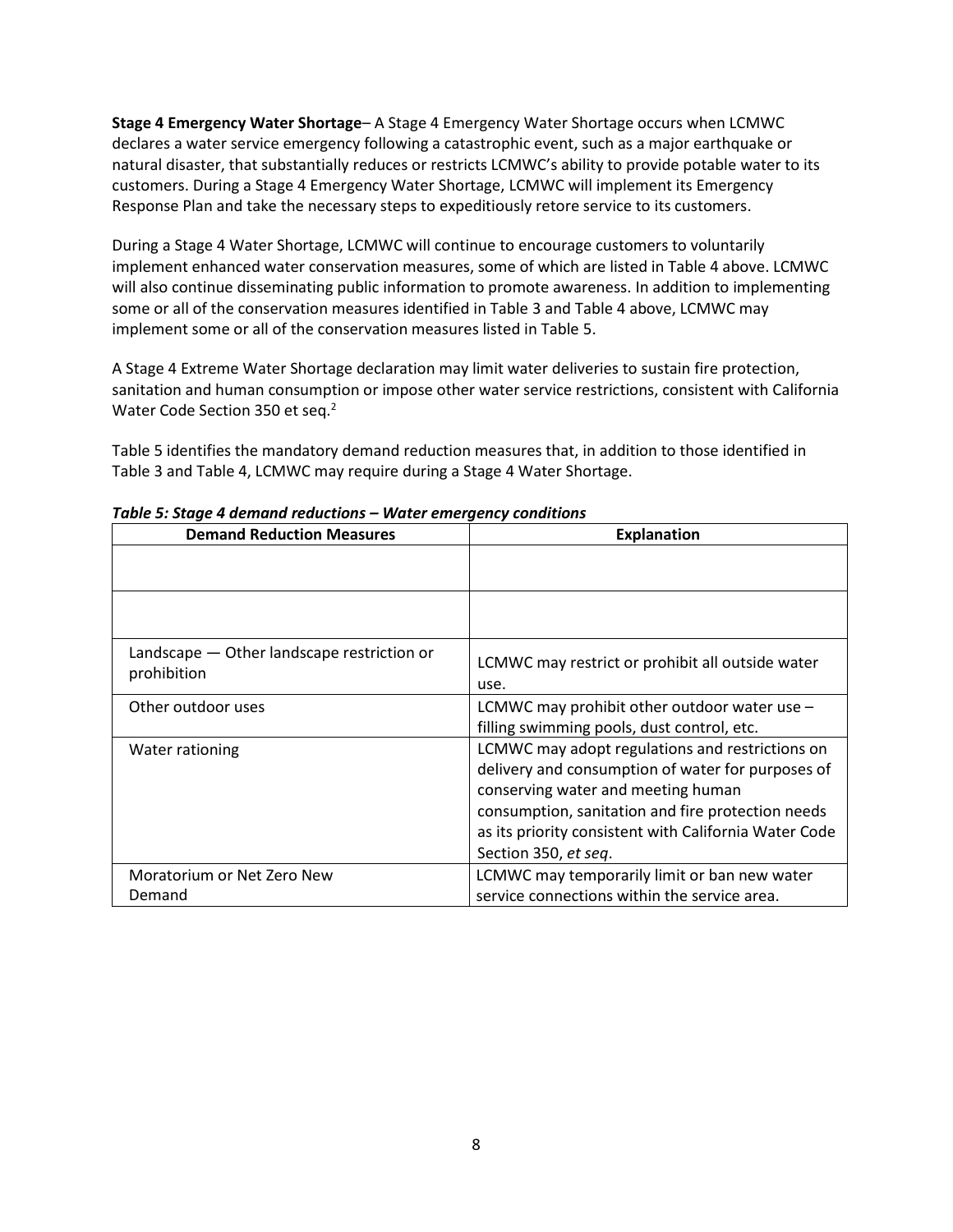**Stage 4 Emergency Water Shortage**– A Stage 4 Emergency Water Shortage occurs when LCMWC declares a water service emergency following a catastrophic event, such as a major earthquake or natural disaster, that substantially reduces or restricts LCMWC's ability to provide potable water to its customers. During a Stage 4 Emergency Water Shortage, LCMWC will implement its Emergency Response Plan and take the necessary steps to expeditiously retore service to its customers.

During a Stage 4 Water Shortage, LCMWC will continue to encourage customers to voluntarily implement enhanced water conservation measures, some of which are listed in Table 4 above. LCMWC will also continue disseminating public information to promote awareness. In addition to implementing some or all of the conservation measures identified in Table 3 and Table 4 above, LCMWC may implement some or all of the conservation measures listed in Table 5.

A Stage 4 Extreme Water Shortage declaration may limit water deliveries to sustain fire protection, sanitation and human consumption or impose other water service restrictions, consistent with California Water Code Section 350 et seq.<sup>2</sup>

Table 5 identifies the mandatory demand reduction measures that, in addition to those identified in Table 3 and Table 4, LCMWC may require during a Stage 4 Water Shortage.

| <b>Demand Reduction Measures</b>           | <b>Explanation</b>                                    |  |
|--------------------------------------------|-------------------------------------------------------|--|
|                                            |                                                       |  |
|                                            |                                                       |  |
|                                            |                                                       |  |
|                                            |                                                       |  |
| Landscape - Other landscape restriction or | LCMWC may restrict or prohibit all outside water      |  |
| prohibition                                | use.                                                  |  |
| Other outdoor uses                         | LCMWC may prohibit other outdoor water use $-$        |  |
|                                            | filling swimming pools, dust control, etc.            |  |
| Water rationing                            | LCMWC may adopt regulations and restrictions on       |  |
|                                            | delivery and consumption of water for purposes of     |  |
|                                            | conserving water and meeting human                    |  |
|                                            | consumption, sanitation and fire protection needs     |  |
|                                            | as its priority consistent with California Water Code |  |
|                                            | Section 350, et seq.                                  |  |
| Moratorium or Net Zero New                 | LCMWC may temporarily limit or ban new water          |  |
| Demand                                     | service connections within the service area.          |  |

*Table 5: Stage 4 demand reductions – Water emergency conditions*